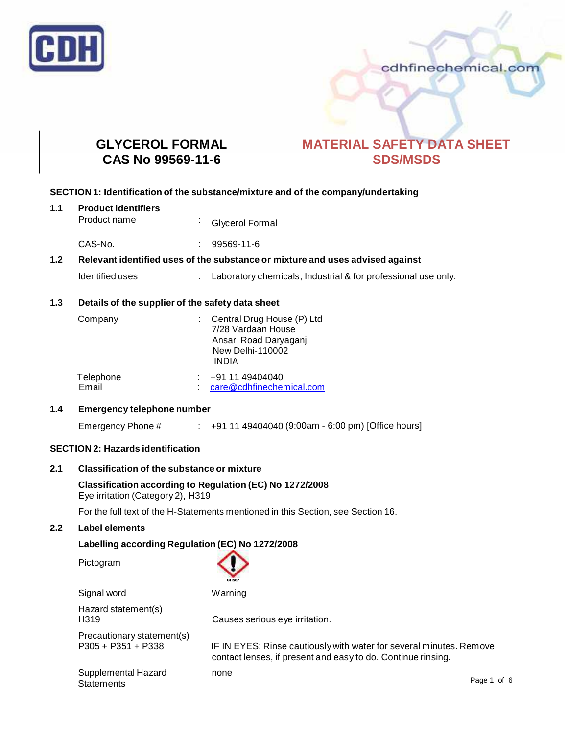

# cdhfinechemical.com

# **GLYCEROL FORMAL CAS No 99569-11-6**

# **MATERIAL SAFETY DATA SHEET SDS/MSDS**

# **SECTION 1: Identification of the substance/mixture and of the company/undertaking**

| 1.1 | <b>Product identifiers</b> |  |                   |  |
|-----|----------------------------|--|-------------------|--|
|     | Product name               |  | : Glycerol Formal |  |

CAS-No. : 99569-11-6

# **1.2 Relevant identified uses of the substance ormixture and uses advised against**

Identified uses : Laboratory chemicals, Industrial & for professional use only.

# **1.3 Details of the supplier of the safety data sheet**

| Company   | : Central Drug House (P) Ltd<br>7/28 Vardaan House<br>Ansari Road Daryaganj<br><b>New Delhi-110002</b><br>INDIA |
|-----------|-----------------------------------------------------------------------------------------------------------------|
| Telephone | $: +911149404040$                                                                                               |
| Email     | care@cdhfinechemical.com                                                                                        |

## **1.4 Emergency telephone number**

Emergency Phone # : +91 11 49404040 (9:00am - 6:00 pm) [Office hours]

# **SECTION 2: Hazards identification**

# **2.1 Classification of the substance ormixture**

**Classification according to Regulation (EC) No 1272/2008** Eye irritation (Category 2), H319

For the full text of the H-Statements mentioned in this Section, see Section 16.

# **2.2 Label elements**

# **Labelling according Regulation (EC) No 1272/2008**

Pictogram

| Signal word                                        | Warning                                                                                                                             |             |
|----------------------------------------------------|-------------------------------------------------------------------------------------------------------------------------------------|-------------|
| Hazard statement(s)<br>H <sub>3</sub> 19           | Causes serious eye irritation.                                                                                                      |             |
| Precautionary statement(s)<br>$P305 + P351 + P338$ | IF IN EYES: Rinse cautiously with water for several minutes. Remove<br>contact lenses, if present and easy to do. Continue rinsing. |             |
| Supplemental Hazard<br><b>Statements</b>           | none                                                                                                                                | Page 1 of 6 |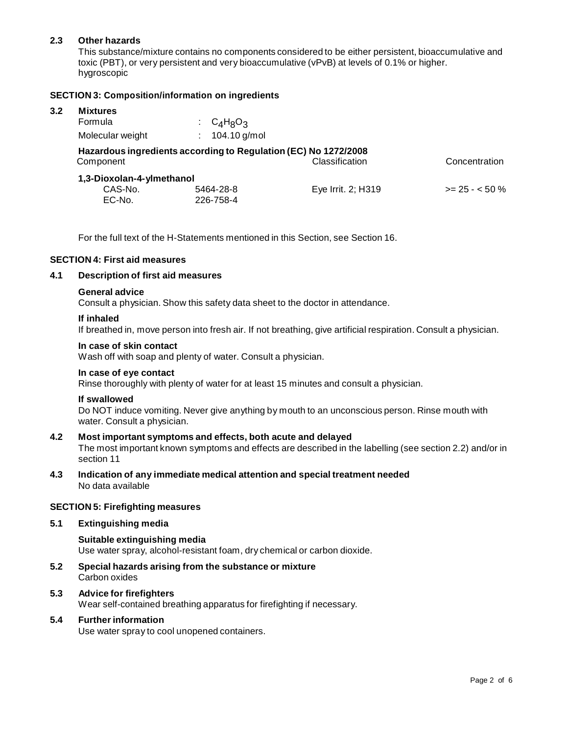# **2.3 Other hazards**

This substance/mixture contains no components considered to be either persistent, bioaccumulative and toxic (PBT), or very persistent and very bioaccumulative (vPvB) at levels of 0.1% or higher.<br>hygroscopic

## **SECTION 3: Composition/information on ingredients**

## **3.2 Mixtures**

| Formula                                                                                                         | $C_4H_8O_3$  |                    |                 |  |  |
|-----------------------------------------------------------------------------------------------------------------|--------------|--------------------|-----------------|--|--|
| Molecular weight                                                                                                | 104.10 g/mol |                    |                 |  |  |
| Hazardous ingredients according to Regulation (EC) No 1272/2008<br>Classification<br>Concentration<br>Component |              |                    |                 |  |  |
| 1,3-Dioxolan-4-ylmethanol                                                                                       |              |                    |                 |  |  |
| CAS-No.                                                                                                         | 5464-28-8    | Eye Irrit. 2; H319 | $>= 25 - 50 \%$ |  |  |
| EC-No.                                                                                                          | 226-758-4    |                    |                 |  |  |

For the full text of the H-Statements mentioned in this Section, see Section 16.

#### **SECTION 4: First aid measures**

## **4.1 Description of first aid measures**

#### **General advice**

Consult a physician. Show this safety data sheet to the doctor in attendance.

#### **If inhaled**

If breathed in, move person into fresh air. If not breathing, give artificial respiration. Consult a physician.

#### **In case of skin contact**

Wash off with soap and plenty of water. Consult a physician.

#### **In case of eye contact**

Rinse thoroughly with plenty of water for at least 15 minutes and consult a physician.

### **If swallowed**

Do NOT induce vomiting. Never give anything by mouth to an unconscious person. Rinse mouth with water. Consult a physician.

## **4.2 Most important symptoms and effects, both acute and delayed**

The most important known symptoms and effects are described in the labelling (see section 2.2) and/or in section 11

#### **4.3 Indication of any immediate medical attention and special treatment needed** No data available

#### **SECTION 5: Firefighting measures**

#### **5.1 Extinguishing media**

**Suitable extinguishing media** Use water spray, alcohol-resistant foam, dry chemical or carbon dioxide.

**5.2 Special hazards arising from the substance ormixture** Carbon oxides

# **5.3 Advice for firefighters**

Wear self-contained breathing apparatus for firefighting if necessary.

#### **5.4 Further information**

Use water spray to cool unopened containers.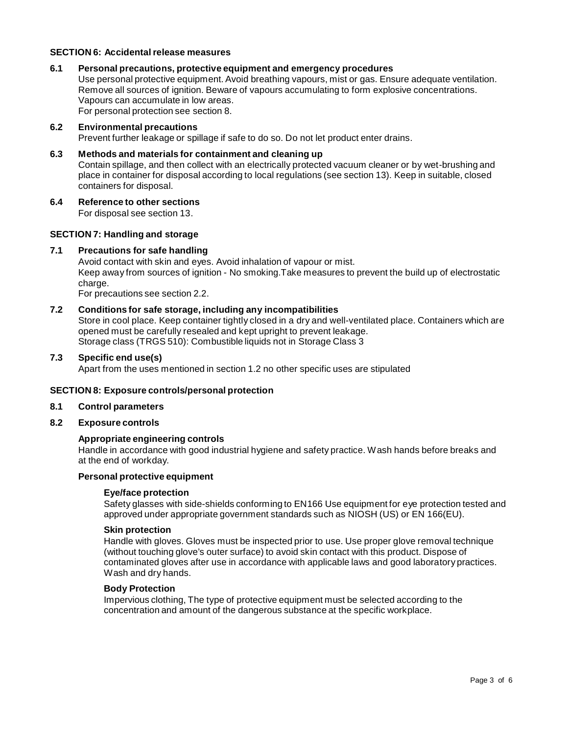## **SECTION 6: Accidentalrelease measures**

#### **6.1 Personal precautions, protective equipment and emergency procedures**

Use personal protective equipment. Avoid breathing vapours, mist or gas. Ensure adequate ventilation. Remove all sources of ignition. Beware of vapours accumulating to form explosive concentrations. Vapours can accumulate in low areas. For personal protection see section 8.

#### **6.2 Environmental precautions**

Prevent further leakage or spillage if safe to do so. Do not let product enter drains.

**6.3 Methods and materials for containment and cleaning up** Contain spillage, and then collect with an electrically protected vacuum cleaner or by wet-brushing and place in container for disposal according to local regulations (see section 13). Keep in suitable, closed containers for disposal.

#### **6.4 Reference to other sections**

For disposal see section 13.

#### **SECTION 7: Handling and storage**

#### **7.1 Precautions for safe handling**

Avoid contact with skin and eyes. Avoid inhalation of vapour or mist. Keep away from sources of ignition - No smoking.Take measures to prevent the build up of electrostatic charge.

For precautions see section 2.2.

## **7.2 Conditions for safe storage, including any incompatibilities**

Store in cool place. Keep container tightly closed in a dry and well-ventilated place. Containers which are opened must be carefully resealed and kept upright to prevent leakage. Storage class (TRGS 510): Combustible liquids not in Storage Class 3

## **7.3 Specific end use(s)**

Apart from the uses mentioned in section 1.2 no other specific uses are stipulated

#### **SECTION 8: Exposure controls/personal protection**

#### **8.1 Control parameters**

#### **8.2 Exposure controls**

#### **Appropriate engineering controls**

Handle in accordance with good industrial hygiene and safety practice. Wash hands before breaks and at the end of workday.

## **Personal protective equipment**

#### **Eye/face protection**

Safety glasses with side-shields conforming to EN166 Use equipment for eye protection tested and approved under appropriate government standards such as NIOSH (US) or EN 166(EU).

#### **Skin protection**

Handle with gloves. Gloves must be inspected prior to use. Use proper glove removal technique (without touching glove's outer surface) to avoid skin contact with this product. Dispose of contaminated gloves after use in accordance with applicable laws and good laboratory practices. Wash and dry hands.

#### **Body Protection**

Impervious clothing, The type of protective equipment must be selected according to the concentration and amount of the dangerous substance at the specific workplace.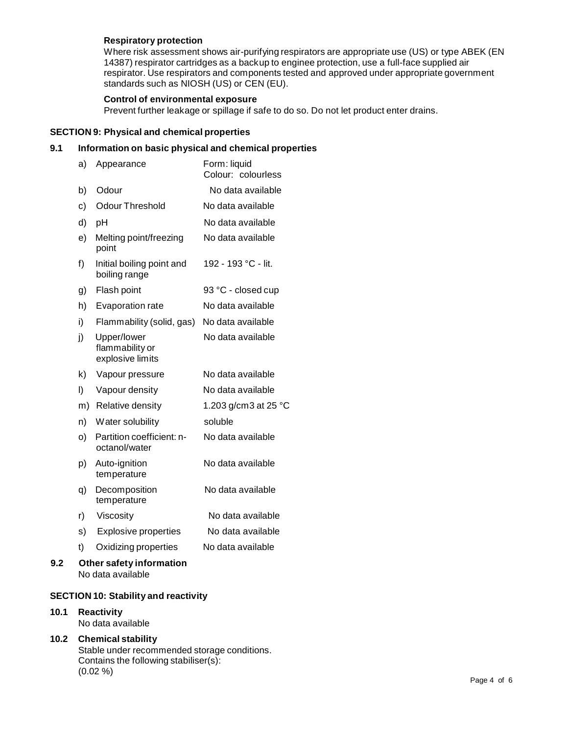# **Respiratory protection**

Where risk assessment shows air-purifying respirators are appropriate use (US) or type ABEK (EN 14387) respirator cartridges as a backup to enginee protection, use a full-face supplied air respirator. Use respirators and components tested and approved under appropriate government standards such as NIOSH (US) or CEN (EU).

# **Control of environmental exposure**

Prevent further leakage or spillage if safe to do so. Do not let product enter drains.

# **SECTION 9: Physical and chemical properties**

# **9.1 Information on basic physical and chemical properties**

|     | a)      | Appearance                                         | Form: liquid<br>Colour: colourless |
|-----|---------|----------------------------------------------------|------------------------------------|
|     | b)      | Odour                                              | No data available                  |
|     | c)      | <b>Odour Threshold</b>                             | No data available                  |
|     | d)      | pH                                                 | No data available                  |
|     | e)      | Melting point/freezing<br>point                    | No data available                  |
|     | f)      | Initial boiling point and<br>boiling range         | 192 - 193 °C - lit.                |
|     | g)      | Flash point                                        | 93 °C - closed cup                 |
|     | h)      | Evaporation rate                                   | No data available                  |
|     | i)      | Flammability (solid, gas)                          | No data available                  |
|     | j)      | Upper/lower<br>flammability or<br>explosive limits | No data available                  |
|     | k)      | Vapour pressure                                    | No data available                  |
|     | $\vert$ | Vapour density                                     | No data available                  |
|     | m)      | Relative density                                   | 1.203 g/cm3 at 25 $^{\circ}$ C     |
|     | n)      | Water solubility                                   | soluble                            |
|     | O)      | Partition coefficient: n-<br>octanol/water         | No data available                  |
|     | p)      | Auto-ignition<br>temperature                       | No data available                  |
|     | q)      | Decomposition<br>temperature                       | No data available                  |
|     | r)      | Viscosity                                          | No data available                  |
|     | s)      | <b>Explosive properties</b>                        | No data available                  |
|     | t)      | Oxidizing properties                               | No data available                  |
| 9.2 |         | Other safety information<br>No data available      |                                    |

# **SECTION 10: Stability and reactivity**

# **10.1 Reactivity**

No data available

# **10.2 Chemical stability** Stable under recommended storage conditions. Contains the following stabiliser(s): (0.02 %)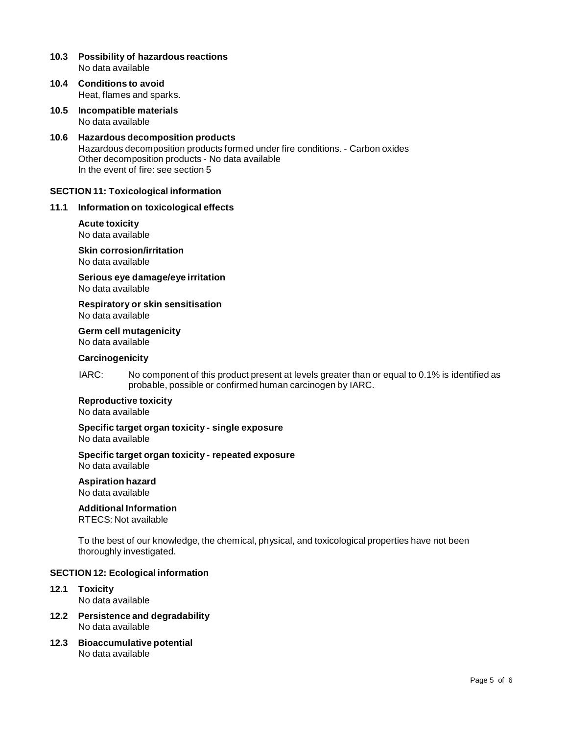### **10.3 Possibility of hazardous reactions** No data available

- **10.4 Conditions to avoid** Heat, flames and sparks.
- **10.5 Incompatible materials** No data available
- **10.6 Hazardous decomposition products** Hazardous decomposition products formed under fire conditions. - Carbon oxides Other decomposition products - No data available In the event of fire: see section 5

#### **SECTION 11: Toxicological information**

#### **11.1 Information on toxicological effects**

#### **Acute toxicity** No data available

**Skin corrosion/irritation** No data available

**Serious eye damage/eye irritation** No data available

**Respiratory orskin sensitisation** No data available

**Germ cell mutagenicity**

No data available

## **Carcinogenicity**

IARC: No component of this product present at levels greater than or equal to 0.1% is identified as probable, possible or confirmed human carcinogen by IARC.

#### **Reproductive toxicity**

No data available

# **Specific target organ toxicity - single exposure**

No data available

# **Specific target organ toxicity - repeated exposure**

No data available

# **Aspiration hazard**

No data available

## **Additional Information**

RTECS: Not available

To the best of our knowledge, the chemical, physical, and toxicological properties have not been thoroughly investigated.

#### **SECTION 12: Ecological information**

- **12.1 Toxicity** No data available
- **12.2 Persistence and degradability** No data available
- **12.3 Bioaccumulative potential** No data available